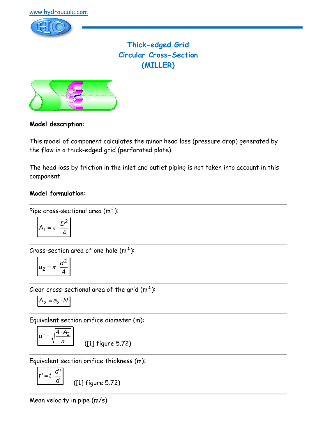

# **Thick-edged Grid Circular Cross-Section (MILLER)**



## **Model description:**

This model of component calculates the minor head loss (pressure drop) generated by the flow in a thick-edged grid (perforated plate).

The head loss by friction in the inlet and outlet piping is not taken into account in this component.

#### **Model formulation:**

Pipe cross-sectional area 
$$
(m^2)
$$
:

$$
A_1 = \pi \cdot \frac{D^2}{4}
$$

Cross-section area of one hole  $(m<sup>2</sup>)$ :

$$
a_2 = \pi \cdot \frac{d^2}{4}
$$

Clear cross-sectional area of the grid  $(m^2)$ :

$$
A_2 = a_2 \cdot N
$$

Equivalent section orifice diameter (m):

$$
d' = \sqrt{\frac{4 \cdot A_2}{\pi}}
$$

([1] figure 5.72)

Equivalent section orifice thickness (m):

$$
t'=t\cdot\frac{d'}{d}
$$

([1] figure 5.72)

Mean velocity in pipe (m/s):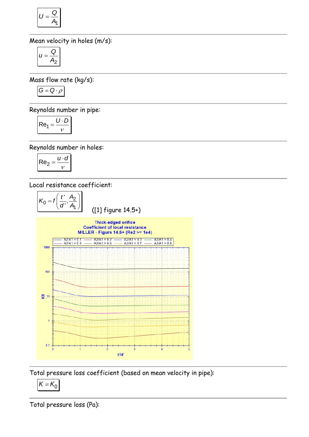$$
U=\frac{Q}{A_1}
$$

Mean velocity in holes (m/s):

$$
u=\frac{Q}{A_2}
$$

Mass flow rate (kg/s):

$$
G=Q\cdot \rho
$$

Reynolds number in pipe:

$$
Re_1 = \frac{U \cdot D}{v}
$$

Reynolds number in holes:

$$
\mathsf{Re}_2 = \frac{u \cdot d}{v}
$$

Local resistance coefficient:



Total pressure loss coefficient (based on mean velocity in pipe):

$$
K=K_0
$$

Total pressure loss (Pa):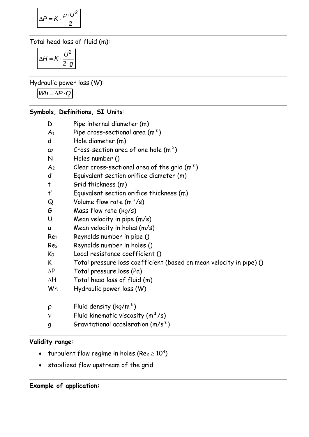$$
\Delta P = K \cdot \frac{\rho \cdot U^2}{2}
$$

Total head loss of fluid (m):

$$
\Delta H = K \cdot \frac{U^2}{2 \cdot g}
$$

Hydraulic power loss (W):

 $Wh = \Delta P \cdot Q$ 

## **Symbols, Definitions, SI Units:**

- D Pipe internal diameter (m)
- $A_1$  Pipe cross-sectional area  $(m^2)$
- d Hole diameter (m)
- $a_2$  Cross-section area of one hole  $(m^2)$
- N Holes number ()
- $A_2$  Clear cross-sectional area of the grid  $(m^2)$
- d' Equivalent section orifice diameter (m)
- t Grid thickness (m)
- t' Equivalent section orifice thickness (m)
- $Q$  Volume flow rate  $(m^3/s)$
- G Mass flow rate (kg/s)
- U Mean velocity in pipe (m/s)
- u Mean velocity in holes (m/s)
- Re<sup>1</sup> Reynolds number in pipe ()
- Re<sup>2</sup> Reynolds number in holes ()
- K<sup>0</sup> Local resistance coefficient ()
- K Total pressure loss coefficient (based on mean velocity in pipe) ()
- $\Delta P$  Total pressure loss (Pa)
- $\Delta H$  Total head loss of fluid (m)
- Wh Hydraulic power loss (W)
- $p$  Fluid density (kg/m<sup>3</sup>)
- $v$  Fluid kinematic viscosity  $(m^2/s)$
- g Gravitational acceleration (m/s²)

## **Validity range:**

- turbulent flow regime in holes (Re $_{2}$   $\geq$  10<sup>4</sup>)
- stabilized flow upstream of the grid

#### **Example of application:**